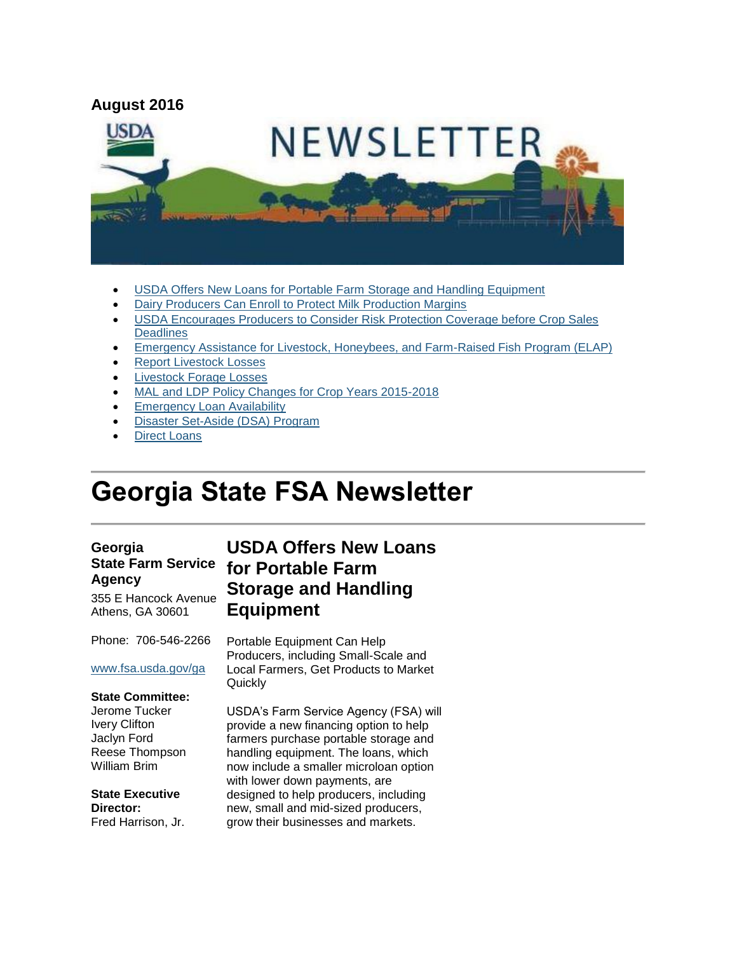

- [USDA Offers New Loans for Portable Farm Storage and Handling Equipment](#page-0-0)
- [Dairy Producers Can Enroll to Protect Milk Production Margins](#page-1-0)
- [USDA Encourages Producers to Consider Risk Protection Coverage before Crop Sales](#page-2-0)  **[Deadlines](#page-2-0)**
- **[Emergency Assistance for Livestock, Honeybees, and Farm-Raised Fish Program \(ELAP\)](#page-3-0)**
- [Report Livestock Losses](#page-4-0)
- **Livestock Forage Losses**
- [MAL and LDP Policy Changes for Crop Years 2015-2018](#page-5-0)
- [Emergency Loan Availability](#page-6-0)
- [Disaster Set-Aside \(DSA\) Program](#page-6-1)
- [Direct Loans](#page-6-2)

# **Georgia State FSA Newsletter**

#### **Georgia State Farm Service Agency**

355 E Hancock Avenue Athens, GA 30601

Phone: 706-546-2266

#### [www.fsa.usda.gov/ga](http://www.fsa.usda.gov/ga)

#### **State Committee:**

Jerome Tucker Ivery Clifton Jaclyn Ford Reese Thompson William Brim

**State Executive Director:** Fred Harrison, Jr.

# <span id="page-0-0"></span>**USDA Offers New Loans for Portable Farm Storage and Handling Equipment**

Portable Equipment Can Help Producers, including Small-Scale and Local Farmers, Get Products to Market **Quickly** 

USDA's Farm Service Agency (FSA) will provide a new financing option to help farmers purchase portable storage and handling equipment. The loans, which now include a smaller microloan option with lower down payments, are designed to help producers, including new, small and mid-sized producers, grow their businesses and markets.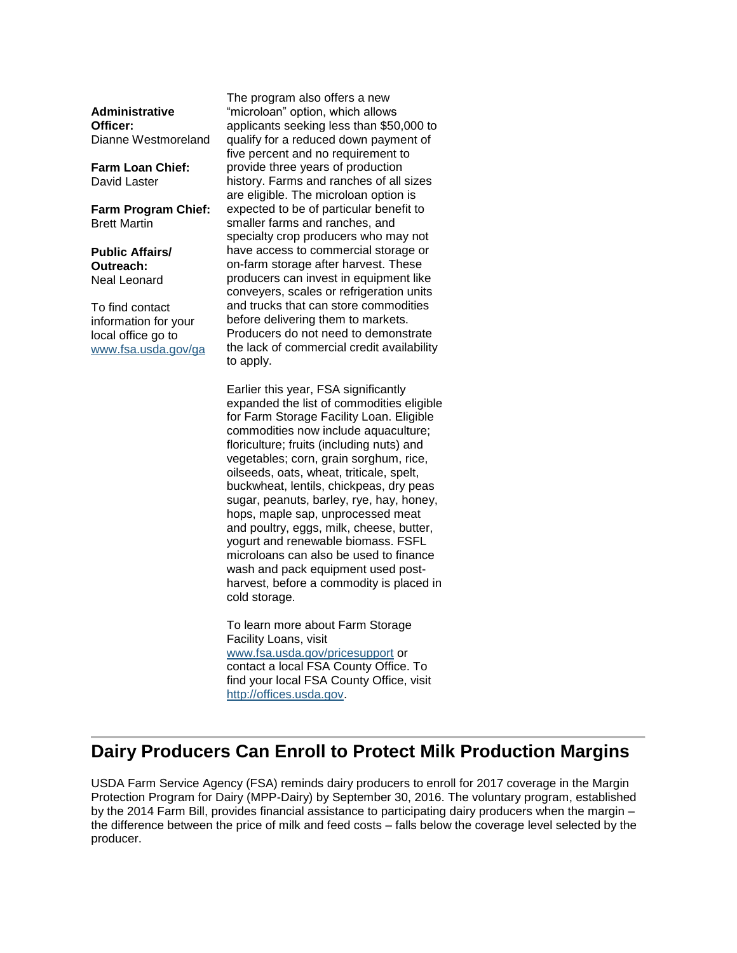**Administrative Officer:** Dianne Westmoreland

**Farm Loan Chief:** David Laster

**Farm Program Chief:** Brett Martin

**Public Affairs/ Outreach:** Neal Leonard

To find contact information for your local office go to [www.fsa.usda.gov/ga](http://www.fsa.usda.gov/ga) The program also offers a new "microloan" option, which allows applicants seeking less than \$50,000 to qualify for a reduced down payment of five percent and no requirement to provide three years of production history. Farms and ranches of all sizes are eligible. The microloan option is expected to be of particular benefit to smaller farms and ranches, and specialty crop producers who may not have access to commercial storage or on-farm storage after harvest. These producers can invest in equipment like conveyers, scales or refrigeration units and trucks that can store commodities before delivering them to markets. Producers do not need to demonstrate the lack of commercial credit availability to apply.

Earlier this year, FSA significantly expanded the list of commodities eligible for Farm Storage Facility Loan. Eligible commodities now include aquaculture; floriculture; fruits (including nuts) and vegetables; corn, grain sorghum, rice, oilseeds, oats, wheat, triticale, spelt, buckwheat, lentils, chickpeas, dry peas sugar, peanuts, barley, rye, hay, honey, hops, maple sap, unprocessed meat and poultry, eggs, milk, cheese, butter, yogurt and renewable biomass. FSFL microloans can also be used to finance wash and pack equipment used postharvest, before a commodity is placed in cold storage.

To learn more about Farm Storage Facility Loans, visit [www.fsa.usda.gov/pricesupport](http://www.fsa.usda.gov/pricesupport) or contact a local FSA County Office. To find your local FSA County Office, visit [http://offices.usda.gov.](http://offices.usda.gov/)

### <span id="page-1-0"></span>**Dairy Producers Can Enroll to Protect Milk Production Margins**

USDA Farm Service Agency (FSA) reminds dairy producers to enroll for 2017 coverage in the Margin Protection Program for Dairy (MPP-Dairy) by September 30, 2016. The voluntary program, established by the 2014 Farm Bill, provides financial assistance to participating dairy producers when the margin – the difference between the price of milk and feed costs – falls below the coverage level selected by the producer.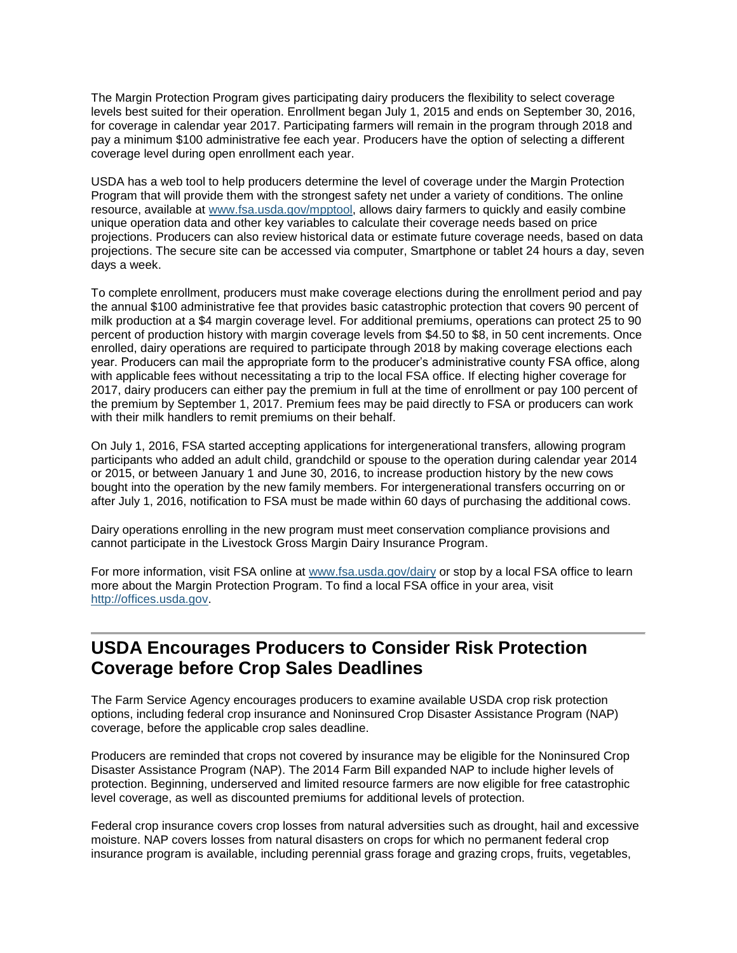The Margin Protection Program gives participating dairy producers the flexibility to select coverage levels best suited for their operation. Enrollment began July 1, 2015 and ends on September 30, 2016, for coverage in calendar year 2017. Participating farmers will remain in the program through 2018 and pay a minimum \$100 administrative fee each year. Producers have the option of selecting a different coverage level during open enrollment each year.

USDA has a web tool to help producers determine the level of coverage under the Margin Protection Program that will provide them with the strongest safety net under a variety of conditions. The online resource, available at [www.fsa.usda.gov/mpptool,](http://www.fsa.usda.gov/mpptool) allows dairy farmers to quickly and easily combine unique operation data and other key variables to calculate their coverage needs based on price projections. Producers can also review historical data or estimate future coverage needs, based on data projections. The secure site can be accessed via computer, Smartphone or tablet 24 hours a day, seven days a week.

To complete enrollment, producers must make coverage elections during the enrollment period and pay the annual \$100 administrative fee that provides basic catastrophic protection that covers 90 percent of milk production at a \$4 margin coverage level. For additional premiums, operations can protect 25 to 90 percent of production history with margin coverage levels from \$4.50 to \$8, in 50 cent increments. Once enrolled, dairy operations are required to participate through 2018 by making coverage elections each year. Producers can mail the appropriate form to the producer's administrative county FSA office, along with applicable fees without necessitating a trip to the local FSA office. If electing higher coverage for 2017, dairy producers can either pay the premium in full at the time of enrollment or pay 100 percent of the premium by September 1, 2017. Premium fees may be paid directly to FSA or producers can work with their milk handlers to remit premiums on their behalf.

On July 1, 2016, FSA started accepting applications for intergenerational transfers, allowing program participants who added an adult child, grandchild or spouse to the operation during calendar year 2014 or 2015, or between January 1 and June 30, 2016, to increase production history by the new cows bought into the operation by the new family members. For intergenerational transfers occurring on or after July 1, 2016, notification to FSA must be made within 60 days of purchasing the additional cows.

Dairy operations enrolling in the new program must meet conservation compliance provisions and cannot participate in the Livestock Gross Margin Dairy Insurance Program.

For more information, visit FSA online at [www.fsa.usda.gov/dairy](http://www.fsa.usda.gov/dairy) or stop by a local FSA office to learn more about the Margin Protection Program. To find a local FSA office in your area, visit [http://offices.usda.gov.](http://offices.usda.gov/)

#### <span id="page-2-0"></span>**USDA Encourages Producers to Consider Risk Protection Coverage before Crop Sales Deadlines**

The Farm Service Agency encourages producers to examine available USDA crop risk protection options, including federal crop insurance and Noninsured Crop Disaster Assistance Program (NAP) coverage, before the applicable crop sales deadline.

Producers are reminded that crops not covered by insurance may be eligible for the Noninsured Crop Disaster Assistance Program (NAP). The 2014 Farm Bill expanded NAP to include higher levels of protection. Beginning, underserved and limited resource farmers are now eligible for free catastrophic level coverage, as well as discounted premiums for additional levels of protection.

Federal crop insurance covers crop losses from natural adversities such as drought, hail and excessive moisture. NAP covers losses from natural disasters on crops for which no permanent federal crop insurance program is available, including perennial grass forage and grazing crops, fruits, vegetables,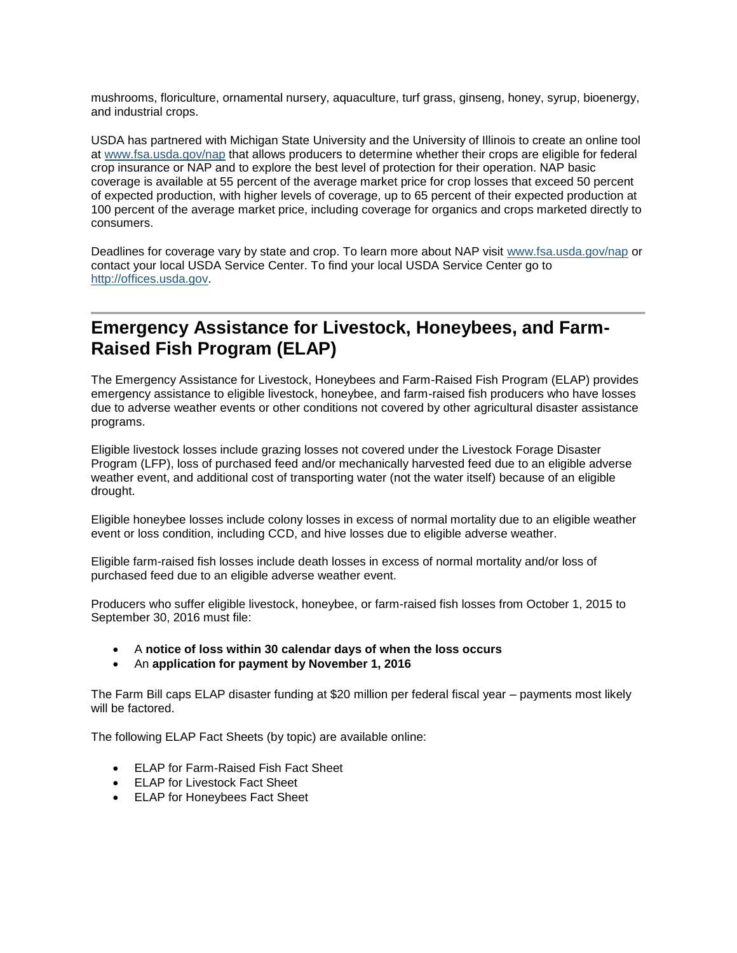mushrooms, floriculture, ornamental nursery, aquaculture, turf grass, ginseng, honey, syrup, bioenergy, and industrial crops.

USDA has partnered with Michigan State University and the University of Illinois to create an online tool at [www.fsa.usda.gov/nap](http://www.fsa.usda.gov/nap) that allows producers to determine whether their crops are eligible for federal crop insurance or NAP and to explore the best level of protection for their operation. NAP basic coverage is available at 55 percent of the average market price for crop losses that exceed 50 percent of expected production, with higher levels of coverage, up to 65 percent of their expected production at 100 percent of the average market price, including coverage for organics and crops marketed directly to consumers.

Deadlines for coverage vary by state and crop. To learn more about NAP visit [www.fsa.usda.gov/nap](http://www.fsa.usda.gov/nap) or contact your local USDA Service Center. To find your local USDA Service Center go to [http://offices.usda.gov.](http://offices.usda.gov/)

# <span id="page-3-0"></span>**Emergency Assistance for Livestock, Honeybees, and Farm-Raised Fish Program (ELAP)**

The Emergency Assistance for Livestock, Honeybees and Farm-Raised Fish Program (ELAP) provides emergency assistance to eligible livestock, honeybee, and farm-raised fish producers who have losses due to adverse weather events or other conditions not covered by other agricultural disaster assistance programs.

Eligible livestock losses include grazing losses not covered under the Livestock Forage Disaster Program (LFP), loss of purchased feed and/or mechanically harvested feed due to an eligible adverse weather event, and additional cost of transporting water (not the water itself) because of an eligible drought.

Eligible honeybee losses include colony losses in excess of normal mortality due to an eligible weather event or loss condition, including CCD, and hive losses due to eligible adverse weather.

Eligible farm-raised fish losses include death losses in excess of normal mortality and/or loss of purchased feed due to an eligible adverse weather event.

Producers who suffer eligible livestock, honeybee, or farm-raised fish losses from October 1, 2015 to September 30, 2016 must file:

- A **notice of loss within 30 calendar days of when the loss occurs**
- An **application for payment by November 1, 2016**

The Farm Bill caps ELAP disaster funding at \$20 million per federal fiscal year – payments most likely will be factored.

The following ELAP Fact Sheets (by topic) are available online:

- ELAP for Farm-Raised Fish Fact Sheet
- ELAP for Livestock Fact Sheet
- ELAP for Honeybees Fact Sheet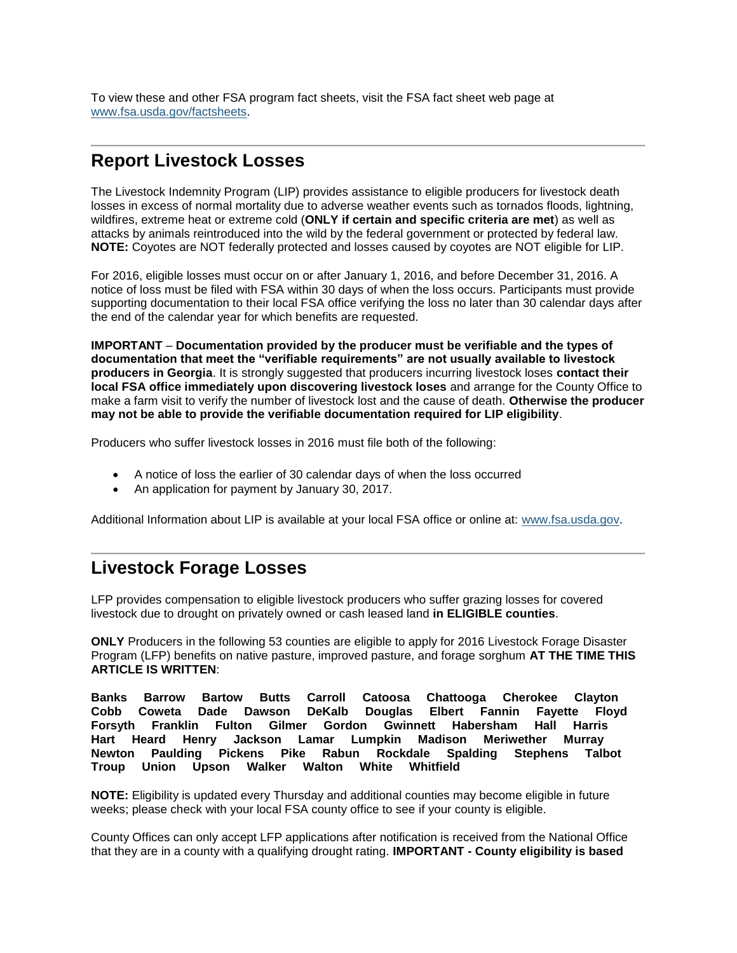To view these and other FSA program fact sheets, visit the FSA fact sheet web page at [www.fsa.usda.gov/factsheets.](http://www.fsa.usda.gov/factsheets)

## <span id="page-4-0"></span>**Report Livestock Losses**

The Livestock Indemnity Program (LIP) provides assistance to eligible producers for livestock death losses in excess of normal mortality due to adverse weather events such as tornados floods, lightning, wildfires, extreme heat or extreme cold (**ONLY if certain and specific criteria are met**) as well as attacks by animals reintroduced into the wild by the federal government or protected by federal law. **NOTE:** Coyotes are NOT federally protected and losses caused by coyotes are NOT eligible for LIP.

For 2016, eligible losses must occur on or after January 1, 2016, and before December 31, 2016. A notice of loss must be filed with FSA within 30 days of when the loss occurs. Participants must provide supporting documentation to their local FSA office verifying the loss no later than 30 calendar days after the end of the calendar year for which benefits are requested.

**IMPORTANT** – **Documentation provided by the producer must be verifiable and the types of documentation that meet the "verifiable requirements" are not usually available to livestock producers in Georgia**. It is strongly suggested that producers incurring livestock loses **contact their local FSA office immediately upon discovering livestock loses** and arrange for the County Office to make a farm visit to verify the number of livestock lost and the cause of death. **Otherwise the producer may not be able to provide the verifiable documentation required for LIP eligibility**.

Producers who suffer livestock losses in 2016 must file both of the following:

- A notice of loss the earlier of 30 calendar days of when the loss occurred
- An application for payment by January 30, 2017.

Additional Information about LIP is available at your local FSA office or online at: [www.fsa.usda.gov.](file:///C:/Documents%20and%20Settings/murray.watts/Local%20Settings/Temporary%20Internet%20Files/Content.Outlook/WRAEZEPN/www.fsa.usda.gov)

### <span id="page-4-1"></span>**Livestock Forage Losses**

LFP provides compensation to eligible livestock producers who suffer grazing losses for covered livestock due to drought on privately owned or cash leased land **in ELIGIBLE counties**.

**ONLY** Producers in the following 53 counties are eligible to apply for 2016 Livestock Forage Disaster Program (LFP) benefits on native pasture, improved pasture, and forage sorghum **AT THE TIME THIS ARTICLE IS WRITTEN**:

**Banks Barrow Bartow Butts Carroll Catoosa Chattooga Cherokee Clayton Cobb Coweta Dade Dawson DeKalb Douglas Elbert Fannin Fayette Floyd Forsyth Franklin Fulton Gilmer Gordon Gwinnett Habersham Hall Harris Hart Heard Henry Jackson Lamar Lumpkin Madison Meriwether Murray Newton Paulding Pickens Pike Rabun Rockdale Spalding Stephens Talbot Troup Union Upson Walker Walton White Whitfield** 

**NOTE:** Eligibility is updated every Thursday and additional counties may become eligible in future weeks; please check with your local FSA county office to see if your county is eligible.

County Offices can only accept LFP applications after notification is received from the National Office that they are in a county with a qualifying drought rating. **IMPORTANT - County eligibility is based**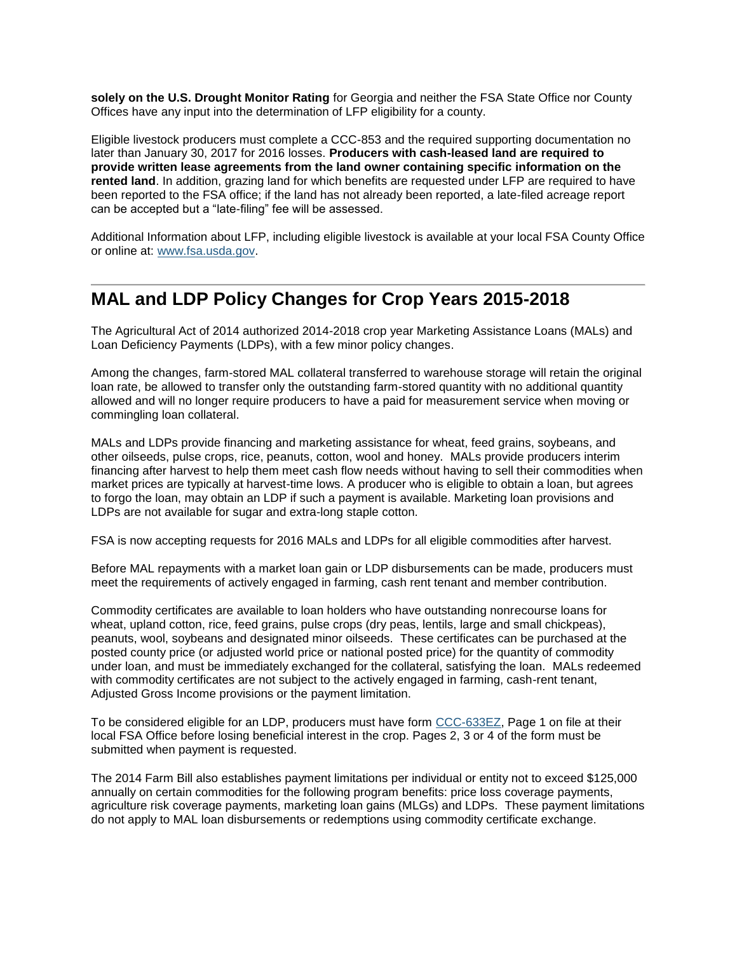**solely on the U.S. Drought Monitor Rating** for Georgia and neither the FSA State Office nor County Offices have any input into the determination of LFP eligibility for a county.

Eligible livestock producers must complete a CCC-853 and the required supporting documentation no later than January 30, 2017 for 2016 losses. **Producers with cash-leased land are required to provide written lease agreements from the land owner containing specific information on the rented land**. In addition, grazing land for which benefits are requested under LFP are required to have been reported to the FSA office; if the land has not already been reported, a late-filed acreage report can be accepted but a "late-filing" fee will be assessed.

Additional Information about LFP, including eligible livestock is available at your local FSA County Office or online at: [www.fsa.usda.gov.](http://www.fsa.usda.gov/)

### <span id="page-5-0"></span>**MAL and LDP Policy Changes for Crop Years 2015-2018**

The Agricultural Act of 2014 authorized 2014-2018 crop year Marketing Assistance Loans (MALs) and Loan Deficiency Payments (LDPs), with a few minor policy changes.

Among the changes, farm-stored MAL collateral transferred to warehouse storage will retain the original loan rate, be allowed to transfer only the outstanding farm-stored quantity with no additional quantity allowed and will no longer require producers to have a paid for measurement service when moving or commingling loan collateral.

MALs and LDPs provide financing and marketing assistance for wheat, feed grains, soybeans, and other oilseeds, pulse crops, rice, peanuts, cotton, wool and honey. MALs provide producers interim financing after harvest to help them meet cash flow needs without having to sell their commodities when market prices are typically at harvest-time lows. A producer who is eligible to obtain a loan, but agrees to forgo the loan, may obtain an LDP if such a payment is available. Marketing loan provisions and LDPs are not available for sugar and extra-long staple cotton.

FSA is now accepting requests for 2016 MALs and LDPs for all eligible commodities after harvest.

Before MAL repayments with a market loan gain or LDP disbursements can be made, producers must meet the requirements of actively engaged in farming, cash rent tenant and member contribution.

Commodity certificates are available to loan holders who have outstanding nonrecourse loans for wheat, upland cotton, rice, feed grains, pulse crops (dry peas, lentils, large and small chickpeas), peanuts, wool, soybeans and designated minor oilseeds. These certificates can be purchased at the posted county price (or adjusted world price or national posted price) for the quantity of commodity under loan, and must be immediately exchanged for the collateral, satisfying the loan. MALs redeemed with commodity certificates are not subject to the actively engaged in farming, cash-rent tenant, Adjusted Gross Income provisions or the payment limitation.

To be considered eligible for an LDP, producers must have form [CCC-633EZ,](http://forms.sc.egov.usda.gov/efcommon/eFileServices/eFormsAdmin/CCC0633EZ_140328V03.pdf) Page 1 on file at their local FSA Office before losing beneficial interest in the crop. Pages 2, 3 or 4 of the form must be submitted when payment is requested.

The 2014 Farm Bill also establishes payment limitations per individual or entity not to exceed \$125,000 annually on certain commodities for the following program benefits: price loss coverage payments, agriculture risk coverage payments, marketing loan gains (MLGs) and LDPs. These payment limitations do not apply to MAL loan disbursements or redemptions using commodity certificate exchange.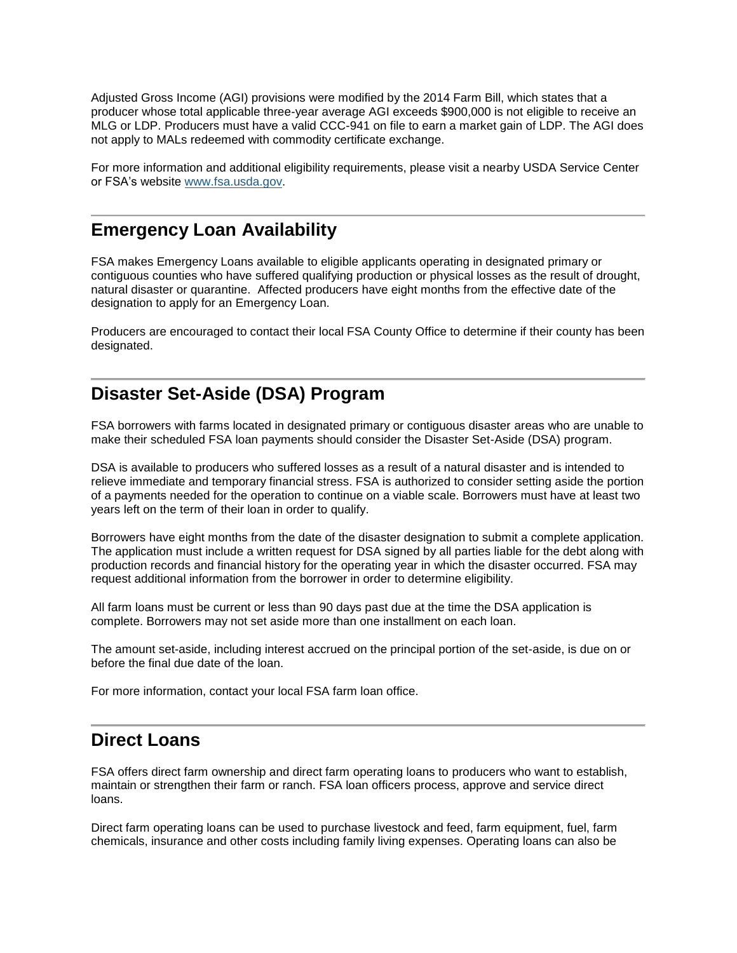Adjusted Gross Income (AGI) provisions were modified by the 2014 Farm Bill, which states that a producer whose total applicable three-year average AGI exceeds \$900,000 is not eligible to receive an MLG or LDP. Producers must have a valid CCC-941 on file to earn a market gain of LDP. The AGI does not apply to MALs redeemed with commodity certificate exchange.

For more information and additional eligibility requirements, please visit a nearby USDA Service Center or FSA's website [www.fsa.usda.gov.](http://www.fsa.usda.gov/)

#### <span id="page-6-0"></span>**Emergency Loan Availability**

FSA makes Emergency Loans available to eligible applicants operating in designated primary or contiguous counties who have suffered qualifying production or physical losses as the result of drought, natural disaster or quarantine. Affected producers have eight months from the effective date of the designation to apply for an Emergency Loan.

Producers are encouraged to contact their local FSA County Office to determine if their county has been designated.

# <span id="page-6-1"></span>**Disaster Set-Aside (DSA) Program**

FSA borrowers with farms located in designated primary or contiguous disaster areas who are unable to make their scheduled FSA loan payments should consider the Disaster Set-Aside (DSA) program.

DSA is available to producers who suffered losses as a result of a natural disaster and is intended to relieve immediate and temporary financial stress. FSA is authorized to consider setting aside the portion of a payments needed for the operation to continue on a viable scale. Borrowers must have at least two years left on the term of their loan in order to qualify.

Borrowers have eight months from the date of the disaster designation to submit a complete application. The application must include a written request for DSA signed by all parties liable for the debt along with production records and financial history for the operating year in which the disaster occurred. FSA may request additional information from the borrower in order to determine eligibility.

All farm loans must be current or less than 90 days past due at the time the DSA application is complete. Borrowers may not set aside more than one installment on each loan.

The amount set-aside, including interest accrued on the principal portion of the set-aside, is due on or before the final due date of the loan.

For more information, contact your local FSA farm loan office.

#### <span id="page-6-2"></span>**Direct Loans**

FSA offers direct farm ownership and direct farm operating loans to producers who want to establish, maintain or strengthen their farm or ranch. FSA loan officers process, approve and service direct loans.

Direct farm operating loans can be used to purchase livestock and feed, farm equipment, fuel, farm chemicals, insurance and other costs including family living expenses. Operating loans can also be